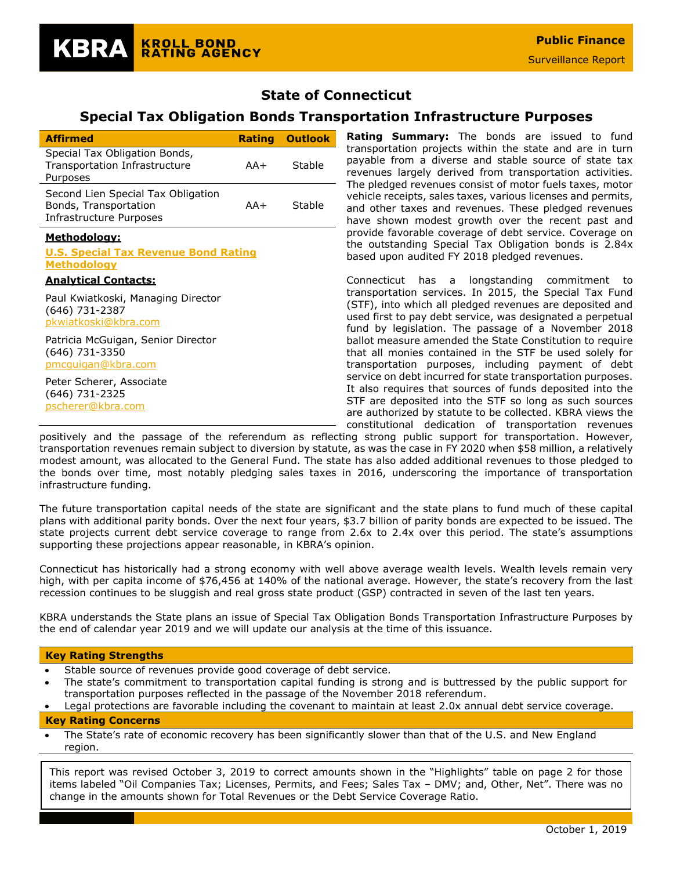## **State of Connecticut**

# **Special Tax Obligation Bonds Transportation Infrastructure Purposes**

| <b>Affirmed</b>                                                                        |     | <b>Rating Outlook</b> |
|----------------------------------------------------------------------------------------|-----|-----------------------|
| Special Tax Obligation Bonds,<br>Transportation Infrastructure<br>Purposes             | AA+ | Stable                |
| Second Lien Special Tax Obligation<br>Bonds, Transportation<br>Infrastructure Purposes | AA+ | Stable                |
| <u> Methodology:</u>                                                                   |     |                       |
| <b>U.S. Special Tax Revenue Bond Rating</b><br><u>Methodology</u>                      |     |                       |
| <b>Analytical Contacts:</b>                                                            |     |                       |
| Paul Kwiatkoski, Managing Director<br>(646) 731-2387<br>pkwiatkoski@kbra.com           |     |                       |
| Patricia McGuigan, Senior Director<br>(646) 731-3350<br>pmcquigan@kbra.com             |     |                       |
| Peter Scherer, Associate<br>(646) 731-2325<br>pscherer@kbra.com                        |     |                       |

**KROLL BOND** 

**RATING AGENCY** 

KBRA

**Rating Summary:** The bonds are issued to fund transportation projects within the state and are in turn payable from a diverse and stable source of state tax revenues largely derived from transportation activities. The pledged revenues consist of motor fuels taxes, motor vehicle receipts, sales taxes, various licenses and permits, and other taxes and revenues. These pledged revenues have shown modest growth over the recent past and provide favorable coverage of debt service. Coverage on the outstanding Special Tax Obligation bonds is 2.84x based upon audited FY 2018 pledged revenues.

Connecticut has a longstanding commitment to transportation services. In 2015, the Special Tax Fund (STF), into which all pledged revenues are deposited and used first to pay debt service, was designated a perpetual fund by legislation. The passage of a November 2018 ballot measure amended the State Constitution to require that all monies contained in the STF be used solely for transportation purposes, including payment of debt service on debt incurred for state transportation purposes. It also requires that sources of funds deposited into the STF are deposited into the STF so long as such sources are authorized by statute to be collected. KBRA views the constitutional dedication of transportation revenues

positively and the passage of the referendum as reflecting strong public support for transportation. However, transportation revenues remain subject to diversion by statute, as was the case in FY 2020 when \$58 million, a relatively modest amount, was allocated to the General Fund. The state has also added additional revenues to those pledged to the bonds over time, most notably pledging sales taxes in 2016, underscoring the importance of transportation infrastructure funding.

The future transportation capital needs of the state are significant and the state plans to fund much of these capital plans with additional parity bonds. Over the next four years, \$3.7 billion of parity bonds are expected to be issued. The state projects current debt service coverage to range from 2.6x to 2.4x over this period. The state's assumptions supporting these projections appear reasonable, in KBRA's opinion.

Connecticut has historically had a strong economy with well above average wealth levels. Wealth levels remain very high, with per capita income of \$76,456 at 140% of the national average. However, the state's recovery from the last recession continues to be sluggish and real gross state product (GSP) contracted in seven of the last ten years.

KBRA understands the State plans an issue of Special Tax Obligation Bonds Transportation Infrastructure Purposes by the end of calendar year 2019 and we will update our analysis at the time of this issuance.

### **Key Rating Strengths**

- Stable source of revenues provide good coverage of debt service.
- The state's commitment to transportation capital funding is strong and is buttressed by the public support for transportation purposes reflected in the passage of the November 2018 referendum.
- Legal protections are favorable including the covenant to maintain at least 2.0x annual debt service coverage.

#### **Key Rating Concerns**

The State's rate of economic recovery has been significantly slower than that of the U.S. and New England region.

This report was revised October 3, 2019 to correct amounts shown in the "Highlights" table on page 2 for those items labeled "Oil Companies Tax; Licenses, Permits, and Fees; Sales Tax – DMV; and, Other, Net". There was no change in the amounts shown for Total Revenues or the Debt Service Coverage Ratio.